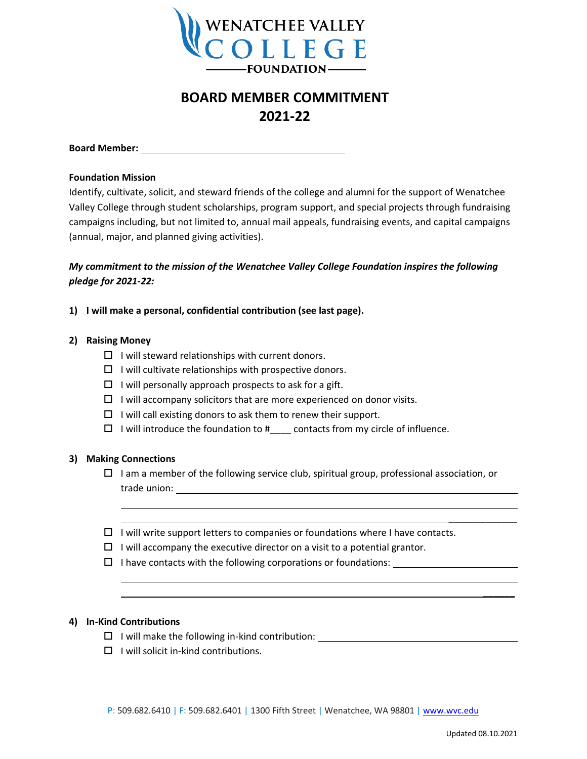

# **BOARD MEMBER COMMITMENT 2021-22**

**Board Member:** 

#### **Foundation Mission**

Identify, cultivate, solicit, and steward friends of the college and alumni for the support of Wenatchee Valley College through student scholarships, program support, and special projects through fundraising campaigns including, but not limited to, annual mail appeals, fundraising events, and capital campaigns (annual, major, and planned giving activities).

# *My commitment to the mission of the Wenatchee Valley College Foundation inspires the following pledge for 2021-22:*

### **1) I will make a personal, confidential contribution (see last page).**

#### **2) Raising Money**

- $\Box$  I will steward relationships with current donors.
- $\Box$  I will cultivate relationships with prospective donors.
- $\Box$  I will personally approach prospects to ask for a gift.
- $\Box$  I will accompany solicitors that are more experienced on donor visits.
- $\Box$  I will call existing donors to ask them to renew their support.
- $\Box$  I will introduce the foundation to  $\sharp$  contacts from my circle of influence.

### **3) Making Connections**

- $\Box$  I am a member of the following service club, spiritual group, professional association, or trade union:
- $\Box$  I will write support letters to companies or foundations where I have contacts.
- $\Box$  I will accompany the executive director on a visit to a potential grantor.
- $\Box$  I have contacts with the following corporations or foundations:

### **4) In-Kind Contributions**

- $\Box$  I will make the following in-kind contribution:  $\Box$
- $\Box$  I will solicit in-kind contributions.

\_\_\_\_\_\_\_\_\_\_\_\_\_

 $\overline{\phantom{a}}$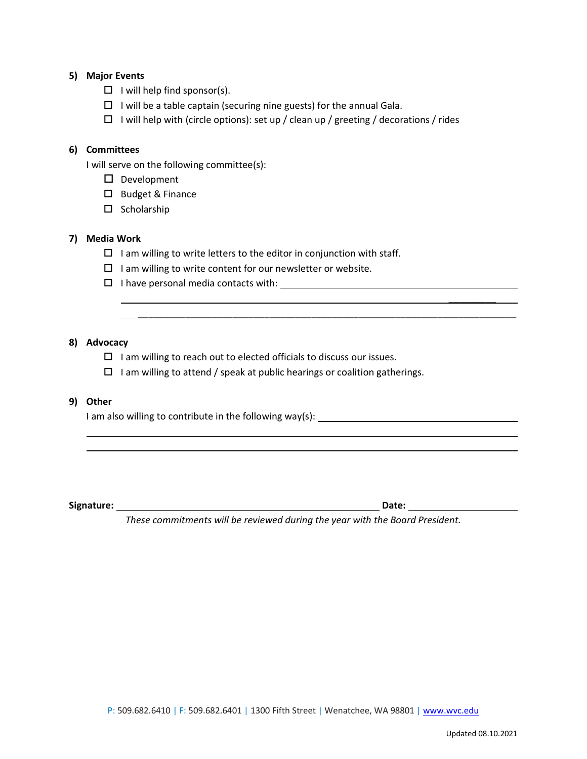### **5) Major Events**

- $\Box$  I will help find sponsor(s).
- $\Box$  I will be a table captain (securing nine guests) for the annual Gala.
- $\Box$  I will help with (circle options): set up / clean up / greeting / decorations / rides

#### **6) Committees**

I will serve on the following committee(s):

- D Development
- $\square$  Budget & Finance
- $\square$  Scholarship

#### **7) Media Work**

- $\square$  I am willing to write letters to the editor in conjunction with staff.
- $\Box$  I am willing to write content for our newsletter or website.
- I have personal media contacts with:

#### **8) Advocacy**

- $\Box$  I am willing to reach out to elected officials to discuss our issues.
- $\Box$  I am willing to attend / speak at public hearings or coalition gatherings.

## **9) Other**

I am also willing to contribute in the following way(s):

**Signature: Date:** 

*These commitments will be reviewed during the year with the Board President.*

\_\_\_\_\_\_\_\_\_\_\_\_\_\_\_\_\_\_\_\_\_\_\_\_\_\_\_\_\_\_\_\_\_\_\_\_\_\_\_\_\_\_\_\_\_\_\_\_\_\_\_\_\_\_\_\_\_\_\_\_\_\_\_\_\_\_\_\_\_\_\_\_

\_\_\_\_\_\_\_\_\_